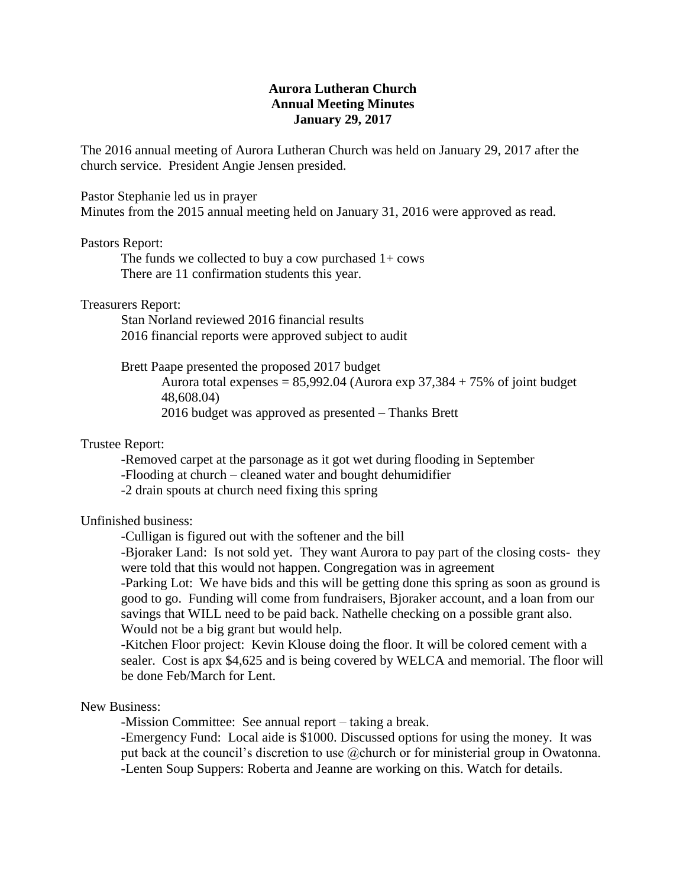## **Aurora Lutheran Church Annual Meeting Minutes January 29, 2017**

The 2016 annual meeting of Aurora Lutheran Church was held on January 29, 2017 after the church service. President Angie Jensen presided.

Pastor Stephanie led us in prayer Minutes from the 2015 annual meeting held on January 31, 2016 were approved as read.

## Pastors Report:

The funds we collected to buy a cow purchased  $1+$  cows There are 11 confirmation students this year.

Treasurers Report:

Stan Norland reviewed 2016 financial results 2016 financial reports were approved subject to audit

Brett Paape presented the proposed 2017 budget

Aurora total expenses =  $85,992.04$  (Aurora exp  $37,384 + 75\%$  of joint budget 48,608.04)

2016 budget was approved as presented – Thanks Brett

## Trustee Report:

-Removed carpet at the parsonage as it got wet during flooding in September

-Flooding at church – cleaned water and bought dehumidifier

-2 drain spouts at church need fixing this spring

Unfinished business:

-Culligan is figured out with the softener and the bill

-Bjoraker Land: Is not sold yet. They want Aurora to pay part of the closing costs- they were told that this would not happen. Congregation was in agreement

-Parking Lot: We have bids and this will be getting done this spring as soon as ground is good to go. Funding will come from fundraisers, Bjoraker account, and a loan from our savings that WILL need to be paid back. Nathelle checking on a possible grant also. Would not be a big grant but would help.

-Kitchen Floor project: Kevin Klouse doing the floor. It will be colored cement with a sealer. Cost is apx \$4,625 and is being covered by WELCA and memorial. The floor will be done Feb/March for Lent.

New Business:

-Mission Committee: See annual report – taking a break.

-Emergency Fund: Local aide is \$1000. Discussed options for using the money. It was put back at the council's discretion to use @church or for ministerial group in Owatonna. -Lenten Soup Suppers: Roberta and Jeanne are working on this. Watch for details.